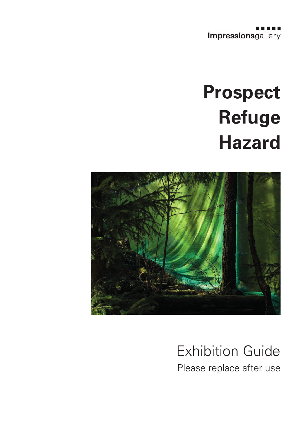impressionsgallery

# **Prospect Refuge Hazard**



#### Exhibition Guide Please replace after use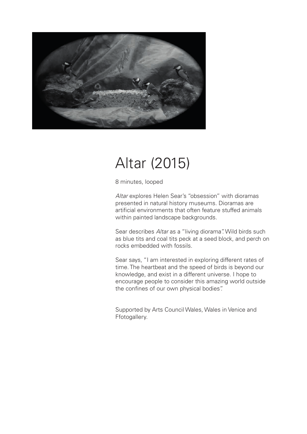

### Altar (2015)

8 minutes, looped

*Altar* explores Helen Sear's "obsession" with dioramas presented in natural history museums. Dioramas are artificial environments that often feature stuffed animals within painted landscape backgrounds.

Sear describes *Altar* as a "living diorama". Wild birds such as blue tits and coal tits peck at a seed block, and perch on rocks embedded with fossils.

Sear says, "I am interested in exploring different rates of time. The heartbeat and the speed of birds is beyond our knowledge, and exist in a different universe. I hope to encourage people to consider this amazing world outside the confines of our own physical bodies".

Supported by Arts Council Wales, Wales in Venice and Ffotogallery.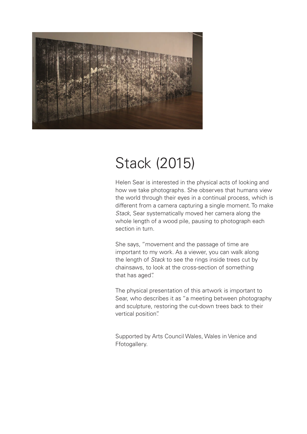

# Stack (2015)

Helen Sear is interested in the physical acts of looking and how we take photographs. She observes that humans view the world through their eyes in a continual process, which is different from a camera capturing a single moment. To make *Stack*, Sear systematically moved her camera along the whole length of a wood pile, pausing to photograph each section in turn.

She says, "movement and the passage of time are important to my work. As a viewer, you can walk along the length of *Stack* to see the rings inside trees cut by chainsaws, to look at the cross-section of something that has aged".

The physical presentation of this artwork is important to Sear, who describes it as "a meeting between photography and sculpture, restoring the cut-down trees back to their vertical position".

Supported by Arts Council Wales, Wales in Venice and Ffotogallery.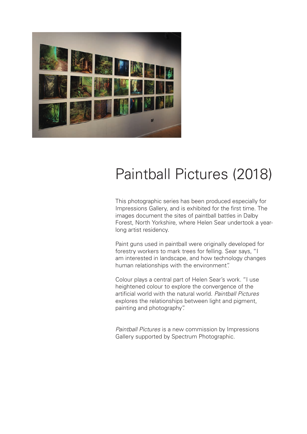

#### Paintball Pictures (2018)

This photographic series has been produced especially for Impressions Gallery, and is exhibited for the first time. The images document the sites of paintball battles in Dalby Forest, North Yorkshire, where Helen Sear undertook a yearlong artist residency.

Paint guns used in paintball were originally developed for forestry workers to mark trees for felling. Sear says, "I am interested in landscape, and how technology changes human relationships with the environment".

Colour plays a central part of Helen Sear's work. "I use heightened colour to explore the convergence of the artificial world with the natural world. *Paintball Pictures* explores the relationships between light and pigment, painting and photography".

*Paintball Pictures* is a new commission by Impressions Gallery supported by Spectrum Photographic.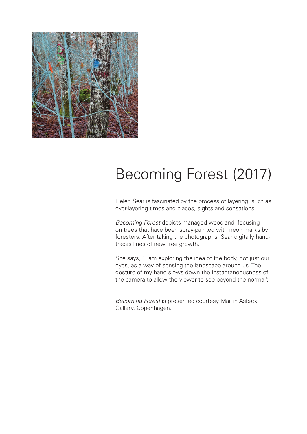

## Becoming Forest (2017)

Helen Sear is fascinated by the process of layering, such as over-layering times and places, sights and sensations.

*Becoming Forest* depicts managed woodland, focusing on trees that have been spray-painted with neon marks by foresters. After taking the photographs, Sear digitally handtraces lines of new tree growth.

She says, "I am exploring the idea of the body, not just our eyes, as a way of sensing the landscape around us. The gesture of my hand slows down the instantaneousness of the camera to allow the viewer to see beyond the normal".

*Becoming Forest* is presented courtesy Martin Asbæk Gallery, Copenhagen.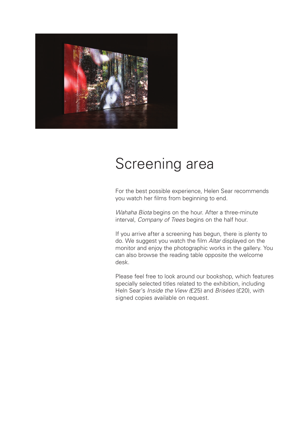

#### Screening area

For the best possible experience, Helen Sear recommends you watch her films from beginning to end.

*Wahaha Biota* begins on the hour. After a three-minute interval, *Company of Trees* begins on the half hour.

If you arrive after a screening has begun, there is plenty to do. We suggest you watch the film *Altar* displayed on the monitor and enjoy the photographic works in the gallery. You can also browse the reading table opposite the welcome desk.

Please feel free to look around our bookshop, which features specially selected titles related to the exhibition, including Heln Sear's *Inside the View (*£25) and *Brisées* (£20), with signed copies available on request.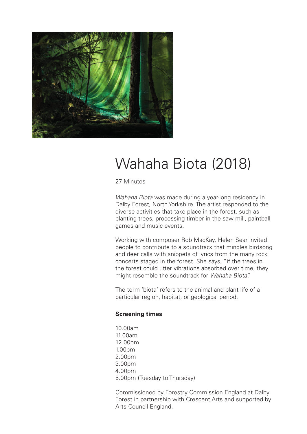

#### Wahaha Biota (2018)

27 Minutes

*Wahaha Biota* was made during a year-long residency in Dalby Forest, North Yorkshire. The artist responded to the diverse activities that take place in the forest, such as planting trees, processing timber in the saw mill, paintball games and music events.

Working with composer Rob MacKay, Helen Sear invited people to contribute to a soundtrack that mingles birdsong and deer calls with snippets of lyrics from the many rock concerts staged in the forest. She says, "if the trees in the forest could utter vibrations absorbed over time, they might resemble the soundtrack for *Wahaha Biota*".

The term 'biota' refers to the animal and plant life of a particular region, habitat, or geological period.

#### **Screening times**

10.00am 11.00am 12.00pm 1.00pm 2.00pm 3.00pm 4.00pm 5.00pm (Tuesday to Thursday)

Commissioned by Forestry Commission England at Dalby Forest in partnership with Crescent Arts and supported by Arts Council England.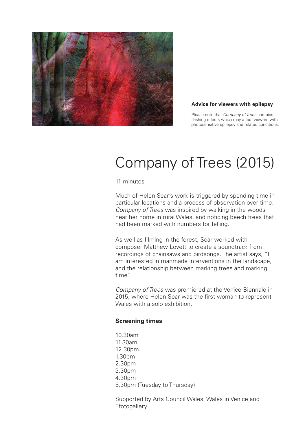

**Advice for viewers with epilepsy**

Please note that *Company of Trees* contains flashing effects which may affect viewers with photosensitive epilepsy and related conditions.

### Company of Trees (2015)

11 minutes

Much of Helen Sear's work is triggered by spending time in particular locations and a process of observation over time. *Company of Trees* was inspired by walking in the woods near her home in rural Wales, and noticing beech trees that had been marked with numbers for felling.

As well as filming in the forest, Sear worked with composer Matthew Lovett to create a soundtrack from recordings of chainsaws and birdsongs. The artist says, "I am interested in manmade interventions in the landscape, and the relationship between marking trees and marking time".

*Company of Trees* was premiered at the Venice Biennale in 2015, where Helen Sear was the first woman to represent Wales with a solo exhibition.

#### **Screening times**

10.30am 11.30am 12.30pm 1.30pm 2.30pm 3.30pm 4.30pm 5.30pm (Tuesday to Thursday)

Supported by Arts Council Wales, Wales in Venice and Ffotogallery.